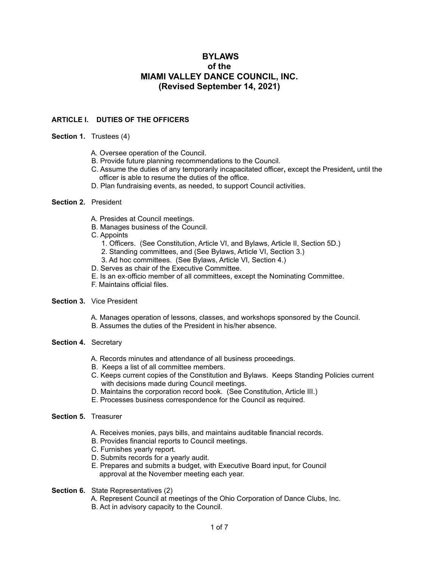# **BYLAWS of the MIAMI VALLEY DANCE COUNCIL, INC. (Revised September 14, 2021)**

# **ARTICLE I. DUTIES OF THE OFFICERS**

#### **Section 1.** Trustees (4)

- A. Oversee operation of the Council.
- B. Provide future planning recommendations to the Council.
- C. Assume the duties of any temporarily incapacitated officer**,** except the President**,** until the officer is able to resume the duties of the office.
- D. Plan fundraising events, as needed, to support Council activities.

#### **Section 2.** President

- A. Presides at Council meetings.
- B. Manages business of the Council.
- C. Appoints
	- 1. Officers. (See Constitution, Article VI, and Bylaws, Article II, Section 5D.)
	- 2. Standing committees, and (See Bylaws, Article VI, Section 3.)
	- 3. Ad hoc committees. (See Bylaws, Article VI, Section 4.)
- D. Serves as chair of the Executive Committee.
- E. Is an ex-officio member of all committees, except the Nominating Committee.
- F. Maintains official files.

#### **Section 3.** Vice President

- A. Manages operation of lessons, classes, and workshops sponsored by the Council.
- B. Assumes the duties of the President in his/her absence.

#### **Section 4.** Secretary

- A. Records minutes and attendance of all business proceedings.
- B. Keeps a list of all committee members.
- C. Keeps current copies of the Constitution and Bylaws. Keeps Standing Policies current with decisions made during Council meetings.
- D. Maintains the corporation record book. (See Constitution, Article III.)
- E. Processes business correspondence for the Council as required.

#### **Section 5.** Treasurer

- A. Receives monies, pays bills, and maintains auditable financial records.
- B. Provides financial reports to Council meetings.
- C. Furnishes yearly report.
- D. Submits records for a yearly audit.
- E. Prepares and submits a budget, with Executive Board input, for Council approval at the November meeting each year.
- **Section 6.** State Representatives (2)
	- A. Represent Council at meetings of the Ohio Corporation of Dance Clubs, Inc.
	- B. Act in advisory capacity to the Council.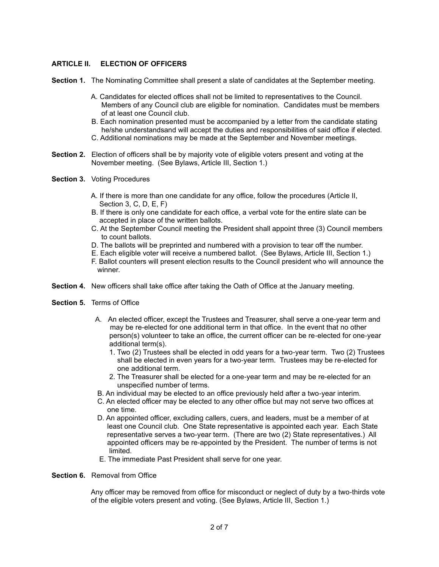### **ARTICLE II. ELECTION OF OFFICERS**

**Section 1.** The Nominating Committee shall present a slate of candidates at the September meeting.

- A. Candidates for elected offices shall not be limited to representatives to the Council. Members of any Council club are eligible for nomination. Candidates must be members of at least one Council club.
- B. Each nomination presented must be accompanied by a letter from the candidate stating he/she understandsand will accept the duties and responsibilities of said office if elected.
- C. Additional nominations may be made at the September and November meetings.
- **Section 2.** Election of officers shall be by majority vote of eligible voters present and voting at the November meeting. (See Bylaws, Article III, Section 1.)
- **Section 3.** Voting Procedures
	- A. If there is more than one candidate for any office, follow the procedures (Article II, Section 3, C, D, E, F)
	- B. If there is only one candidate for each office, a verbal vote for the entire slate can be accepted in place of the written ballots.
	- C. At the September Council meeting the President shall appoint three (3) Council members to count ballots.
	- D. The ballots will be preprinted and numbered with a provision to tear off the number.
	- E. Each eligible voter will receive a numbered ballot. (See Bylaws, Article III, Section 1.)
	- F. Ballot counters will present election results to the Council president who will announce the winner.
- **Section 4.** New officers shall take office after taking the Oath of Office at the January meeting.
- **Section 5.** Terms of Office
	- A. An elected officer, except the Trustees and Treasurer, shall serve a one-year term and may be re-elected for one additional term in that office. In the event that no other person(s) volunteer to take an office, the current officer can be re-elected for one-year additional term(s).
		- 1. Two (2) Trustees shall be elected in odd years for a two-year term. Two (2) Trustees shall be elected in even years for a two-year term. Trustees may be re-elected for one additional term.
		- 2. The Treasurer shall be elected for a one-year term and may be re-elected for an unspecified number of terms.
	- B. An individual may be elected to an office previously held after a two-year interim.
	- C. An elected officer may be elected to any other office but may not serve two offices at one time.
	- D. An appointed officer, excluding callers, cuers, and leaders, must be a member of at least one Council club. One State representative is appointed each year. Each State representative serves a two-year term. (There are two (2) State representatives.) All appointed officers may be re-appointed by the President. The number of terms is not limited.
	- E. The immediate Past President shall serve for one year.

#### **Section 6.** Removal from Office

Any officer may be removed from office for misconduct or neglect of duty by a two-thirds vote of the eligible voters present and voting. (See Bylaws, Article III, Section 1.)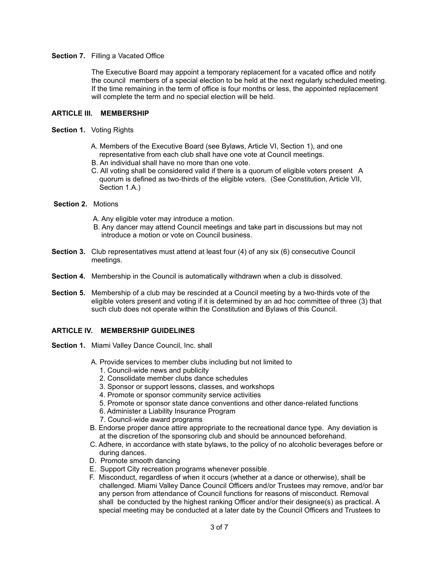### **Section 7.** Filling a Vacated Office

The Executive Board may appoint a temporary replacement for a vacated office and notify the council members of a special election to be held at the next regularly scheduled meeting. If the time remaining in the term of office is four months or less, the appointed replacement will complete the term and no special election will be held.

### **ARTICLE III. MEMBERSHIP**

### **Section 1.** Voting Rights

- A. Members of the Executive Board (see Bylaws, Article VI, Section 1), and one representative from each club shall have one vote at Council meetings.
- B. An individual shall have no more than one vote.
- C. All voting shall be considered valid if there is a quorum of eligible voters present A quorum is defined as two-thirds of the eligible voters. (See Constitution, Article VII, Section 1.A.)

### **Section 2.** Motions

- A. Any eligible voter may introduce a motion.
- B. Any dancer may attend Council meetings and take part in discussions but may not introduce a motion or vote on Council business.
- **Section 3.** Club representatives must attend at least four (4) of any six (6) consecutive Council meetings.
- **Section 4.** Membership in the Council is automatically withdrawn when a club is dissolved.
- **Section 5.** Membership of a club may be rescinded at a Council meeting by a two-thirds vote of the eligible voters present and voting if it is determined by an ad hoc committee of three (3) that such club does not operate within the Constitution and Bylaws of this Council.

# **ARTICLE IV. MEMBERSHIP GUIDELINES**

- **Section 1.** Miami Valley Dance Council, Inc. shall
	- A. Provide services to member clubs including but not limited to
		- 1. Council-wide news and publicity
		- 2. Consolidate member clubs dance schedules
		- 3. Sponsor or support lessons, classes, and workshops
		- 4. Promote or sponsor community service activities
		- 5. Promote or sponsor state dance conventions and other dance-related functions
		- 6. Administer a Liability Insurance Program
		- 7. Council-wide award programs
	- B. Endorse proper dance attire appropriate to the recreational dance type. Any deviation is at the discretion of the sponsoring club and should be announced beforehand.
	- C. Adhere, in accordance with state bylaws, to the policy of no alcoholic beverages before or during dances.
	- D. Promote smooth dancing
	- E. Support City recreation programs whenever possible.
	- F. Misconduct, regardless of when it occurs (whether at a dance or otherwise), shall be challenged. Miami Valley Dance Council Officers and/or Trustees may remove, and/or bar any person from attendance of Council functions for reasons of misconduct. Removal shall be conducted by the highest ranking Officer and/or their designee(s) as practical. A special meeting may be conducted at a later date by the Council Officers and Trustees to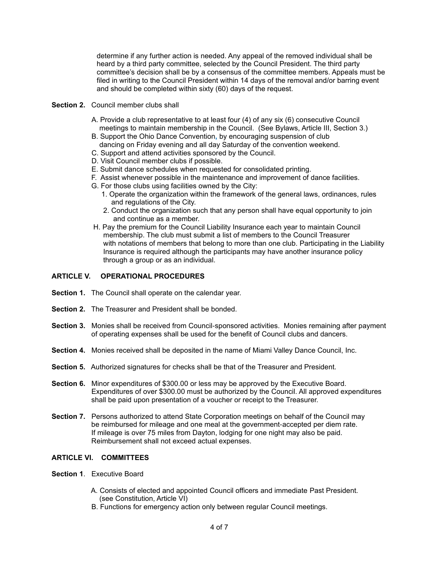determine if any further action is needed. Any appeal of the removed individual shall be heard by a third party committee, selected by the Council President. The third party committee's decision shall be by a consensus of the committee members. Appeals must be filed in writing to the Council President within 14 days of the removal and/or barring event and should be completed within sixty (60) days of the request.

### **Section 2.** Council member clubs shall

- A. Provide a club representative to at least four (4) of any six (6) consecutive Council meetings to maintain membership in the Council. (See Bylaws, Article III, Section 3.)
- B. Support the Ohio Dance Convention**,** by encouraging suspension of club dancing on Friday evening and all day Saturday of the convention weekend.
- C. Support and attend activities sponsored by the Council.
- D. Visit Council member clubs if possible.
- E. Submit dance schedules when requested for consolidated printing.
- F. Assist whenever possible in the maintenance and improvement of dance facilities.
- G. For those clubs using facilities owned by the City:
	- 1. Operate the organization within the framework of the general laws, ordinances, rules and regulations of the City.
	- 2. Conduct the organization such that any person shall have equal opportunity to join and continue as a member.
- H. Pay the premium for the Council Liability Insurance each year to maintain Council membership. The club must submit a list of members to the Council Treasurer with notations of members that belong to more than one club. Participating in the Liability Insurance is required although the participants may have another insurance policy through a group or as an individual.

# **ARTICLE V. OPERATIONAL PROCEDURES**

- **Section 1.** The Council shall operate on the calendar year.
- **Section 2.** The Treasurer and President shall be bonded.
- **Section 3.** Monies shall be received from Council-sponsored activities. Monies remaining after payment of operating expenses shall be used for the benefit of Council clubs and dancers.
- **Section 4.** Monies received shall be deposited in the name of Miami Valley Dance Council, Inc.
- **Section 5.** Authorized signatures for checks shall be that of the Treasurer and President.
- **Section 6.** Minor expenditures of \$300.00 or less may be approved by the Executive Board. Expenditures of over \$300.00 must be authorized by the Council. All approved expenditures shall be paid upon presentation of a voucher or receipt to the Treasurer.
- **Section 7.** Persons authorized to attend State Corporation meetings on behalf of the Council may be reimbursed for mileage and one meal at the government-accepted per diem rate. If mileage is over 75 miles from Dayton, lodging for one night may also be paid. Reimbursement shall not exceed actual expenses.

# **ARTICLE VI. COMMITTEES**

- **Section 1**. Executive Board
	- A. Consists of elected and appointed Council officers and immediate Past President. (see Constitution, Article VI)
	- B. Functions for emergency action only between regular Council meetings.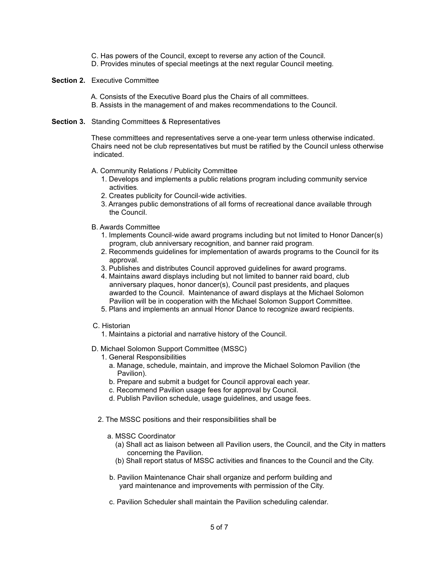- C. Has powers of the Council, except to reverse any action of the Council.
- D. Provides minutes of special meetings at the next regular Council meeting.

### **Section 2.** Executive Committee

 A. Consists of the Executive Board plus the Chairs of all committees. B. Assists in the management of and makes recommendations to the Council.

#### **Section 3.** Standing Committees & Representatives

 These committees and representatives serve a one-year term unless otherwise indicated. Chairs need not be club representatives but must be ratified by the Council unless otherwise indicated.

#### A. Community Relations / Publicity Committee

- 1. Develops and implements a public relations program including community service activities.
- 2. Creates publicity for Council-wide activities.
- 3. Arranges public demonstrations of all forms of recreational dance available through the Council.
- B. Awards Committee
	- 1. Implements Council-wide award programs including but not limited to Honor Dancer(s) program, club anniversary recognition, and banner raid program.
	- 2. Recommends guidelines for implementation of awards programs to the Council for its approval.
	- 3. Publishes and distributes Council approved guidelines for award programs.
	- 4. Maintains award displays including but not limited to banner raid board, club anniversary plaques, honor dancer(s), Council past presidents, and plaques awarded to the Council. Maintenance of award displays at the Michael Solomon Pavilion will be in cooperation with the Michael Solomon Support Committee.
	- 5. Plans and implements an annual Honor Dance to recognize award recipients.
- C. Historian
	- 1. Maintains a pictorial and narrative history of the Council.
- D. Michael Solomon Support Committee (MSSC)
	- 1. General Responsibilities
		- a. Manage, schedule, maintain, and improve the Michael Solomon Pavilion (the Pavilion).
		- b. Prepare and submit a budget for Council approval each year.
		- c. Recommend Pavilion usage fees for approval by Council.
		- d. Publish Pavilion schedule, usage guidelines, and usage fees.
	- 2. The MSSC positions and their responsibilities shall be
		- a. MSSC Coordinator
			- (a) Shall act as liaison between all Pavilion users, the Council, and the City in matters concerning the Pavilion.
			- (b) Shall report status of MSSC activities and finances to the Council and the City.
		- b. Pavilion Maintenance Chair shall organize and perform building and yard maintenance and improvements with permission of the City.
		- c. Pavilion Scheduler shall maintain the Pavilion scheduling calendar.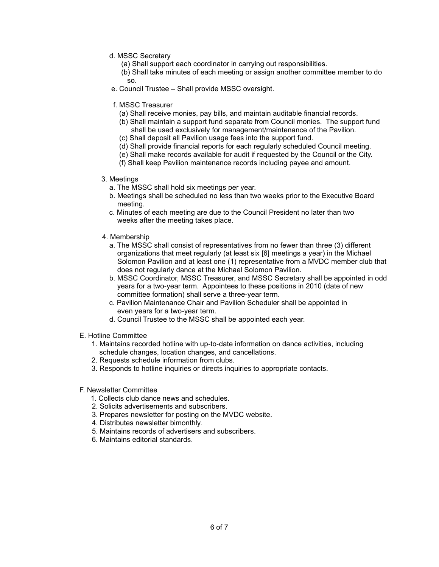- d. MSSC Secretary
	- (a) Shall support each coordinator in carrying out responsibilities.
- (b) Shall take minutes of each meeting or assign another committee member to do so. The contract of the state of the state of the state of the state of the state of the state of the state of
	- e. Council Trustee Shall provide MSSC oversight.
	- f. MSSC Treasurer
		- (a) Shall receive monies, pay bills, and maintain auditable financial records.
		- (b) Shall maintain a support fund separate from Council monies. The support fund shall be used exclusively for management/maintenance of the Pavilion.
		- (c) Shall deposit all Pavilion usage fees into the support fund.
		- (d) Shall provide financial reports for each regularly scheduled Council meeting.
		- (e) Shall make records available for audit if requested by the Council or the City.
		- (f) Shall keep Pavilion maintenance records including payee and amount.

### 3. Meetings

- a. The MSSC shall hold six meetings per year.
- b. Meetings shall be scheduled no less than two weeks prior to the Executive Board meeting.
- c. Minutes of each meeting are due to the Council President no later than two weeks after the meeting takes place.
- 4. Membership
	- a. The MSSC shall consist of representatives from no fewer than three (3) different organizations that meet regularly (at least six [6] meetings a year) in the Michael Solomon Pavilion and at least one (1) representative from a MVDC member club that does not regularly dance at the Michael Solomon Pavilion.
	- b. MSSC Coordinator, MSSC Treasurer, and MSSC Secretary shall be appointed in odd years for a two-year term. Appointees to these positions in 2010 (date of new committee formation) shall serve a three-year term.
	- c. Pavilion Maintenance Chair and Pavilion Scheduler shall be appointed in even years for a two-year term.
	- d. Council Trustee to the MSSC shall be appointed each year.
- E. Hotline Committee
	- 1. Maintains recorded hotline with up-to-date information on dance activities, including schedule changes, location changes, and cancellations.
	- 2. Requests schedule information from clubs.
	- 3. Responds to hotline inquiries or directs inquiries to appropriate contacts.
- F. Newsletter Committee
	- 1. Collects club dance news and schedules.
	- 2. Solicits advertisements and subscribers.
	- 3. Prepares newsletter for posting on the MVDC website.
	- 4. Distributes newsletter bimonthly.
	- 5. Maintains records of advertisers and subscribers.
	- 6. Maintains editorial standards.